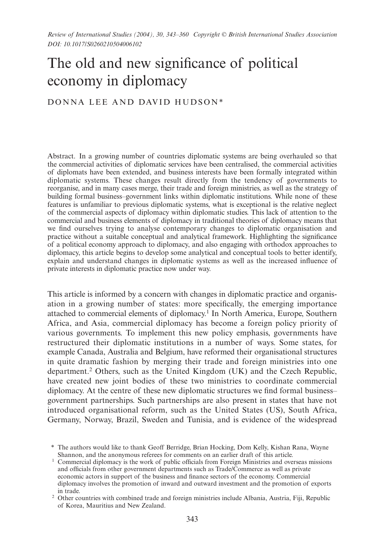*Review of International Studies (2004), 30, 343–360 Copyright © British International Studies Association DOI: 10.1017/S0260210504006102*

# The old and new significance of political economy in diplomacy

# DONNA LEE AND DAVID HUDSON\*

Abstract. In a growing number of countries diplomatic systems are being overhauled so that the commercial activities of diplomatic services have been centralised, the commercial activities of diplomats have been extended, and business interests have been formally integrated within diplomatic systems. These changes result directly from the tendency of governments to reorganise, and in many cases merge, their trade and foreign ministries, as well as the strategy of building formal business–government links within diplomatic institutions. While none of these features is unfamiliar to previous diplomatic systems, what is exceptional is the relative neglect of the commercial aspects of diplomacy within diplomatic studies. This lack of attention to the commercial and business elements of diplomacy in traditional theories of diplomacy means that we find ourselves trying to analyse contemporary changes to diplomatic organisation and practice without a suitable conceptual and analytical framework. Highlighting the significance of a political economy approach to diplomacy, and also engaging with orthodox approaches to diplomacy, this article begins to develop some analytical and conceptual tools to better identify, explain and understand changes in diplomatic systems as well as the increased influence of private interests in diplomatic practice now under way.

This article is informed by a concern with changes in diplomatic practice and organisation in a growing number of states: more specifically, the emerging importance attached to commercial elements of diplomacy.<sup>1</sup> In North America, Europe, Southern Africa, and Asia, commercial diplomacy has become a foreign policy priority of various governments. To implement this new policy emphasis, governments have restructured their diplomatic institutions in a number of ways. Some states, for example Canada, Australia and Belgium, have reformed their organisational structures in quite dramatic fashion by merging their trade and foreign ministries into one department.2 Others, such as the United Kingdom (UK) and the Czech Republic, have created new joint bodies of these two ministries to coordinate commercial diplomacy. At the centre of these new diplomatic structures we find formal business– government partnerships. Such partnerships are also present in states that have not introduced organisational reform, such as the United States (US), South Africa, Germany, Norway, Brazil, Sweden and Tunisia, and is evidence of the widespread

<sup>\*</sup> The authors would like to thank Geoff Berridge, Brian Hocking, Dom Kelly, Kishan Rana, Wayne Shannon, and the anonymous referees for comments on an earlier draft of this article.

<sup>&</sup>lt;sup>1</sup> Commercial diplomacy is the work of public officials from Foreign Ministries and overseas missions and officials from other government departments such as Trade/Commerce as well as private economic actors in support of the business and finance sectors of the economy. Commercial diplomacy involves the promotion of inward and outward investment and the promotion of exports in trade.

<sup>&</sup>lt;sup>2</sup> Other countries with combined trade and foreign ministries include Albania, Austria, Fiji, Republic of Korea, Mauritius and New Zealand.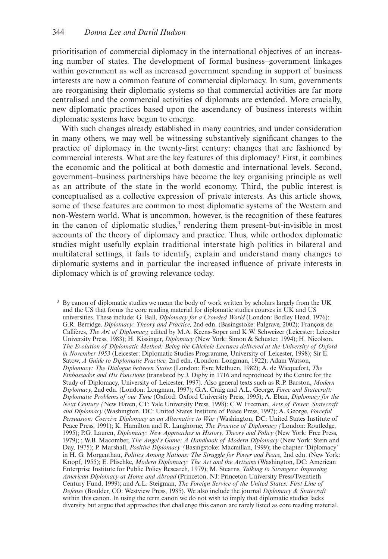prioritisation of commercial diplomacy in the international objectives of an increasing number of states. The development of formal business–government linkages within government as well as increased government spending in support of business interests are now a common feature of commercial diplomacy. In sum, governments are reorganising their diplomatic systems so that commercial activities are far more centralised and the commercial activities of diplomats are extended. More crucially, new diplomatic practices based upon the ascendancy of business interests within diplomatic systems have begun to emerge.

With such changes already established in many countries, and under consideration in many others, we may well be witnessing substantively significant changes to the practice of diplomacy in the twenty-first century: changes that are fashioned by commercial interests. What are the key features of this diplomacy? First, it combines the economic and the political at both domestic and international levels. Second, government–business partnerships have become the key organising principle as well as an attribute of the state in the world economy. Third, the public interest is conceptualised as a collective expression of private interests. As this article shows, some of these features are common to most diplomatic systems of the Western and non-Western world. What is uncommon, however, is the recognition of these features in the canon of diplomatic studies, $3$  rendering them present-but-invisible in most accounts of the theory of diplomacy and practice. Thus, while orthodox diplomatic studies might usefully explain traditional interstate high politics in bilateral and multilateral settings, it fails to identify, explain and understand many changes to diplomatic systems and in particular the increased influence of private interests in diplomacy which is of growing relevance today.

<sup>3</sup> By canon of diplomatic studies we mean the body of work written by scholars largely from the UK and the US that forms the core reading material for diplomatic studies courses in UK and US universities. These include: G. Ball, *Diplomacy for a Crowded World* (London: Bodley Head, 1976): G.R. Berridge, *Diplomacy: Theory and Practice,* 2nd edn. (Basingstoke: Palgrave, 2002); François de Callières, *The Art of Diplomacy,* edited by M.A. Keens-Soper and K.W. Schweizer (Leicester: Leicester University Press, 1983); H. Kissinger, *Diplomacy* (New York: Simon & Schuster, 1994); H. Nicolson, *The Evolution of Diplomatic Method: Being the Chichele Lectures delivered at the University of Oxford in November 1953* (Leicester: Diplomatic Studies Programme, University of Leicester, 1998); Sir E. Satow, *A Guide to Diplomatic Practice,* 2nd edn. (London: Longman, 1922); Adam Watson, *Diplomacy: The Dialogue between States* (London: Eyre Methuen, 1982); A. de Wicquefort, *The Embassador and His Functions* (translated by J. Digby in 1716 and reproduced by the Centre for the Study of Diplomacy, University of Leicester, 1997). Also general texts such as R.P. Barston, *Modern Diplomacy,* 2nd edn. (London: Longman, 1997); G.A. Craig and A.L. George, *Force and Statecraft: Diplomatic Problems of our Time* (Oxford: Oxford University Press, 1995); A. Eban, *Diplomacy for the Next Century (*New Haven, CT: Yale University Press, 1998): C.W Freeman, *Arts of Power: Statecraft and Diplomacy* (Washington, DC: United States Institute of Peace Press, 1997); A. George, *Forceful Persuasion: Coercive Diplomacy as an Alternative to War (*Washington, DC: United States Institute of Peace Press, 1991); K. Hamilton and R. Langhorne, *The Practice of Diplomacy (*London: Routledge, 1995); P.G. Lauren, *Diplomacy: New Approaches in History, Theory and Policy* (New York: Free Press, 1979); ; W.B. Macomber, *The Angel's Game: A Handbook of Modern Diplomacy* (New York: Stein and Day, 1975); P. Marshall, *Positive Diplomacy (*Basingstoke: Macmillan, 1999); the chapter 'Diplomacy' in H. G. Morgenthau, *Politics Among Nations: The Struggle for Power and Peace,* 2nd edn. (New York: Knopf, 1955); E. Plischke, *Modern Diplomacy: The Art and the Artisans* (Washington, DC: American Enterprise Institute for Public Policy Research, 1979); M. Stearns, *Talking to Strangers: Improving American Diplomacy at Home and Abroad* (Princeton, NJ: Princeton University Press/Twentieth Century Fund, 1999); and A.L. Steigman, *The Foreign Service of the United States: First Line of Defense* (Boulder, CO: Westview Press, 1985). We also include the journal *Diplomacy & Statecraft* within this canon. In using the term canon we do not wish to imply that diplomatic studies lacks diversity but argue that approaches that challenge this canon are rarely listed as core reading material.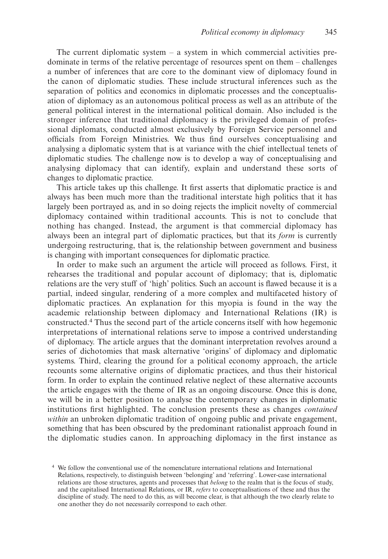The current diplomatic system  $-$  a system in which commercial activities predominate in terms of the relative percentage of resources spent on them – challenges a number of inferences that are core to the dominant view of diplomacy found in the canon of diplomatic studies. These include structural inferences such as the separation of politics and economics in diplomatic processes and the conceptualisation of diplomacy as an autonomous political process as well as an attribute of the general political interest in the international political domain. Also included is the stronger inference that traditional diplomacy is the privileged domain of professional diplomats, conducted almost exclusively by Foreign Service personnel and officials from Foreign Ministries. We thus find ourselves conceptualising and analysing a diplomatic system that is at variance with the chief intellectual tenets of diplomatic studies. The challenge now is to develop a way of conceptualising and analysing diplomacy that can identify, explain and understand these sorts of changes to diplomatic practice.

This article takes up this challenge. It first asserts that diplomatic practice is and always has been much more than the traditional interstate high politics that it has largely been portrayed as, and in so doing rejects the implicit novelty of commercial diplomacy contained within traditional accounts. This is not to conclude that nothing has changed. Instead, the argument is that commercial diplomacy has always been an integral part of diplomatic practices, but that its *form* is currently undergoing restructuring, that is, the relationship between government and business is changing with important consequences for diplomatic practice.

In order to make such an argument the article will proceed as follows. First, it rehearses the traditional and popular account of diplomacy; that is, diplomatic relations are the very stuff of 'high' politics. Such an account is flawed because it is a partial, indeed singular, rendering of a more complex and multifaceted history of diplomatic practices. An explanation for this myopia is found in the way the academic relationship between diplomacy and International Relations (IR) is constructed.4 Thus the second part of the article concerns itself with how hegemonic interpretations of international relations serve to impose a contrived understanding of diplomacy. The article argues that the dominant interpretation revolves around a series of dichotomies that mask alternative 'origins' of diplomacy and diplomatic systems. Third, clearing the ground for a political economy approach, the article recounts some alternative origins of diplomatic practices, and thus their historical form. In order to explain the continued relative neglect of these alternative accounts the article engages with the theme of IR as an ongoing discourse. Once this is done, we will be in a better position to analyse the contemporary changes in diplomatic institutions first highlighted. The conclusion presents these as changes *contained within* an unbroken diplomatic tradition of ongoing public and private engagement, something that has been obscured by the predominant rationalist approach found in the diplomatic studies canon. In approaching diplomacy in the first instance as

<sup>4</sup> We follow the conventional use of the nomenclature international relations and International Relations, respectively, to distinguish between 'belonging' and 'referring'. Lower-case international relations are those structures, agents and processes that *belong* to the realm that is the focus of study, and the capitalised International Relations, or IR, *refers* to conceptualisations of these and thus the discipline of study. The need to do this, as will become clear, is that although the two clearly relate to one another they do not necessarily correspond to each other.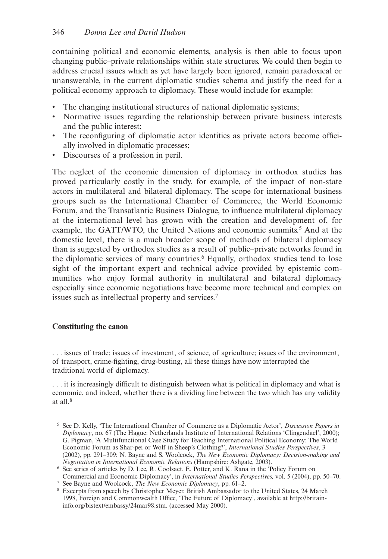containing political and economic elements, analysis is then able to focus upon changing public–private relationships within state structures. We could then begin to address crucial issues which as yet have largely been ignored, remain paradoxical or unanswerable, in the current diplomatic studies schema and justify the need for a political economy approach to diplomacy. These would include for example:

- The changing institutional structures of national diplomatic systems;
- Normative issues regarding the relationship between private business interests and the public interest;
- The reconfiguring of diplomatic actor identities as private actors become officially involved in diplomatic processes;
- Discourses of a profession in peril.

The neglect of the economic dimension of diplomacy in orthodox studies has proved particularly costly in the study, for example, of the impact of non-state actors in multilateral and bilateral diplomacy. The scope for international business groups such as the International Chamber of Commerce, the World Economic Forum, and the Transatlantic Business Dialogue, to influence multilateral diplomacy at the international level has grown with the creation and development of, for example, the GATT/WTO, the United Nations and economic summits.<sup>5</sup> And at the domestic level, there is a much broader scope of methods of bilateral diplomacy than is suggested by orthodox studies as a result of public–private networks found in the diplomatic services of many countries.<sup>6</sup> Equally, orthodox studies tend to lose sight of the important expert and technical advice provided by epistemic communities who enjoy formal authority in multilateral and bilateral diplomacy especially since economic negotiations have become more technical and complex on issues such as intellectual property and services.7

# **Constituting the canon**

. . . issues of trade; issues of investment, of science, of agriculture; issues of the environment, of transport, crime-fighting, drug-busting, all these things have now interrupted the traditional world of diplomacy.

. . . it is increasingly difficult to distinguish between what is political in diplomacy and what is economic, and indeed, whether there is a dividing line between the two which has any validity at all.<sup>8</sup>

<sup>5</sup> See D. Kelly, 'The International Chamber of Commerce as a Diplomatic Actor', *Discussion Papers in Diplomacy*, no. 67 (The Hague: Netherlands Institute of International Relations 'Clingendael', 2000); G. Pigman, 'A Multifunctional Case Study for Teaching International Political Economy: The World Economic Forum as Shar-pei or Wolf in Sheep's Clothing?', *International Studies Perspectives*, 3 (2002), pp. 291–309; N. Bayne and S. Woolcock, *The New Economic Diplomacy: Decision-making and Negotiation in International Economic Relations* (Hampshire: Ashgate, 2003).

<sup>6</sup> See series of articles by D. Lee, R. Coolsaet, E. Potter, and K. Rana in the 'Policy Forum on Commercial and Economic Diplomacy', in *International Studies Perspectives,* vol. 5 (2004), pp. 50–70.

<sup>7</sup> See Bayne and Woolcock, *The New Economic Diplomacy*, pp. 61–2.

<sup>8</sup> Excerpts from speech by Christopher Meyer, British Ambassador to the United States, 24 March 1998, Foreign and Commonwealth Office, 'The Future of Diplomacy', available at http://britaininfo.org/bistext/embassy/24mar98.stm. (accessed May 2000).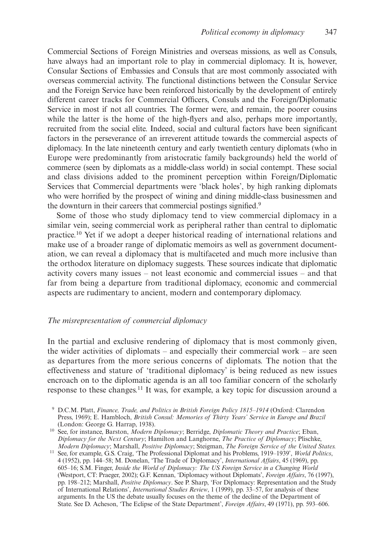Commercial Sections of Foreign Ministries and overseas missions, as well as Consuls, have always had an important role to play in commercial diplomacy. It is, however, Consular Sections of Embassies and Consuls that are most commonly associated with overseas commercial activity. The functional distinctions between the Consular Service and the Foreign Service have been reinforced historically by the development of entirely different career tracks for Commercial Officers, Consuls and the Foreign/Diplomatic Service in most if not all countries. The former were, and remain, the poorer cousins while the latter is the home of the high-flyers and also, perhaps more importantly, recruited from the social elite. Indeed, social and cultural factors have been significant factors in the perseverance of an irreverent attitude towards the commercial aspects of diplomacy. In the late nineteenth century and early twentieth century diplomats (who in Europe were predominantly from aristocratic family backgrounds) held the world of commerce (seen by diplomats as a middle-class world) in social contempt. These social and class divisions added to the prominent perception within Foreign/Diplomatic Services that Commercial departments were 'black holes', by high ranking diplomats who were horrified by the prospect of wining and dining middle-class businessmen and the downturn in their careers that commercial postings signified.9

Some of those who study diplomacy tend to view commercial diplomacy in a similar vein, seeing commercial work as peripheral rather than central to diplomatic practice.10 Yet if we adopt a deeper historical reading of international relations and make use of a broader range of diplomatic memoirs as well as government documentation, we can reveal a diplomacy that is multifaceted and much more inclusive than the orthodox literature on diplomacy suggests. These sources indicate that diplomatic activity covers many issues – not least economic and commercial issues – and that far from being a departure from traditional diplomacy, economic and commercial aspects are rudimentary to ancient, modern and contemporary diplomacy.

# *The misrepresentation of commercial diplomacy*

In the partial and exclusive rendering of diplomacy that is most commonly given, the wider activities of diplomats – and especially their commercial work – are seen as departures from the more serious concerns of diplomats. The notion that the effectiveness and stature of 'traditional diplomacy' is being reduced as new issues encroach on to the diplomatic agenda is an all too familiar concern of the scholarly response to these changes.11 It was, for example, a key topic for discussion around a

<sup>9</sup> D.C.M. Platt, *Finance, Trade, and Politics in British Foreign Policy 1815–1914* (Oxford: Clarendon Press, 1969); E. Hambloch, *British Consul: Memories of Thirty Years' Service in Europe and Brazil* (London: George G. Harrap, 1938).

<sup>10</sup> See, for instance, Barston, *Modern Diplomacy*; Berridge, *Diplomatic Theory and Practice*; Eban, *Diplomacy for the Next Century*; Hamilton and Langhorne, *The Practice of Diplomacy*; Plischke, *Modern Diplomacy*; Marshall, *Positive Diplomacy*; Steigman, *The Foreign Service of the United States.*

<sup>11</sup> See, for example, G.S. Craig, 'The Professional Diplomat and his Problems, 1919–1939', *World Politics*, 4 (1952), pp. 144–58; M. Donelan, 'The Trade of Diplomacy', *International Affairs*, 45 (1969), pp. 605–16; S.M. Finger, *Inside the World of Diplomacy: The US Foreign Service in a Changing World* (Westport, CT: Praeger, 2002); G.F. Kennan, 'Diplomacy without Diplomats', *Foreign Affairs*, 76 (1997), pp. 198–212; Marshall, *Positive Diplomacy*. See P. Sharp, 'For Diplomacy: Representation and the Study of International Relations', *International Studies Review*, 1 (1999), pp. 33–57, for analysis of these arguments. In the US the debate usually focuses on the theme of the decline of the Department of State. See D. Acheson, 'The Eclipse of the State Department', *Foreign Affairs*, 49 (1971), pp. 593–606.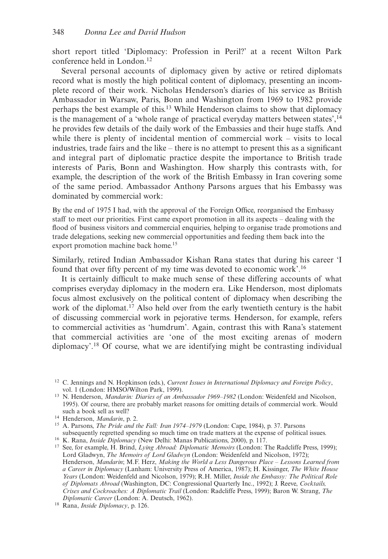short report titled 'Diplomacy: Profession in Peril?' at a recent Wilton Park conference held in London.12

Several personal accounts of diplomacy given by active or retired diplomats record what is mostly the high political content of diplomacy, presenting an incomplete record of their work. Nicholas Henderson's diaries of his service as British Ambassador in Warsaw, Paris, Bonn and Washington from 1969 to 1982 provide perhaps the best example of this.13 While Henderson claims to show that diplomacy is the management of a 'whole range of practical everyday matters between states',<sup>14</sup> he provides few details of the daily work of the Embassies and their huge staffs. And while there is plenty of incidental mention of commercial work – visits to local industries, trade fairs and the like – there is no attempt to present this as a significant and integral part of diplomatic practice despite the importance to British trade interests of Paris, Bonn and Washington. How sharply this contrasts with, for example, the description of the work of the British Embassy in Iran covering some of the same period. Ambassador Anthony Parsons argues that his Embassy was dominated by commercial work:

By the end of 1975 I had, with the approval of the Foreign Office, reorganised the Embassy staff to meet our priorities. First came export promotion in all its aspects – dealing with the flood of business visitors and commercial enquiries, helping to organise trade promotions and trade delegations, seeking new commercial opportunities and feeding them back into the export promotion machine back home.<sup>15</sup>

Similarly, retired Indian Ambassador Kishan Rana states that during his career 'I found that over fifty percent of my time was devoted to economic work'.16

It is certainly difficult to make much sense of these differing accounts of what comprises everyday diplomacy in the modern era. Like Henderson, most diplomats focus almost exclusively on the political content of diplomacy when describing the work of the diplomat.<sup>17</sup> Also held over from the early twentieth century is the habit of discussing commercial work in pejorative terms. Henderson, for example, refers to commercial activities as 'humdrum'. Again, contrast this with Rana's statement that commercial activities are 'one of the most exciting arenas of modern diplomacy'.18 Of course, what we are identifying might be contrasting individual

<sup>12</sup> C. Jennings and N. Hopkinson (eds.), *Current Issues in International Diplomacy and Foreign Policy*, vol. 1 (London: HMSO/Wilton Park, 1999).

<sup>13</sup> N. Henderson, *Mandarin: Diaries of an Ambassador 1969–1982* (London: Weidenfeld and Nicolson, 1995). Of course, there are probably market reasons for omitting details of commercial work. Would such a book sell as well? 14 Henderson, *Mandarin*, p. 2.

<sup>15</sup> A. Parsons, *The Pride and the Fall: Iran 1974–1979* (London: Cape, 1984), p. 37. Parsons

subsequently regretted spending so much time on trade matters at the expense of political issues. <sup>16</sup> K. Rana, *Inside Diplomacy* (New Delhi: Manas Publications, 2000), p. 117.

<sup>17</sup> See, for example, H. Brind, *Lying Abroad: Diplomatic Memoirs* (London: The Radcliffe Press, 1999); Lord Gladwyn, *The Memoirs of Lord Gladwyn* (London: Weidenfeld and Nicolson, 1972); Henderson, *Mandarin*; M.F. Herz, *Making the World a Less Dangerous Place – Lessons Learned from a Career in Diplomacy* (Lanham: University Press of America, 1987); H. Kissinger, *The White House Years* (London: Weidenfeld and Nicolson, 1979); R.H. Miller, *Inside the Embassy: The Political Role of Diplomats Abroad* (Washington, DC: Congressional Quarterly Inc., 1992); J. Reeve, *Cocktails, Crises and Cockroaches: A Diplomatic Trail* (London: Radcliffe Press, 1999); Baron W. Strang, *The Diplomatic Career* (London: A. Deutsch, 1962).

<sup>18</sup> Rana, *Inside Diplomacy*, p. 126.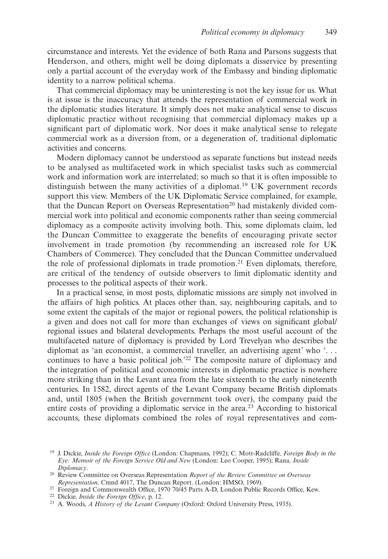circumstance and interests. Yet the evidence of both Rana and Parsons suggests that Henderson, and others, might well be doing diplomats a disservice by presenting only a partial account of the everyday work of the Embassy and binding diplomatic identity to a narrow political schema.

That commercial diplomacy may be uninteresting is not the key issue for us. What is at issue is the inaccuracy that attends the representation of commercial work in the diplomatic studies literature. It simply does not make analytical sense to discuss diplomatic practice without recognising that commercial diplomacy makes up a significant part of diplomatic work. Nor does it make analytical sense to relegate commercial work as a diversion from, or a degeneration of, traditional diplomatic activities and concerns.

Modern diplomacy cannot be understood as separate functions but instead needs to be analysed as multifaceted work in which specialist tasks such as commercial work and information work are interrelated; so much so that it is often impossible to distinguish between the many activities of a diplomat.<sup>19</sup> UK government records support this view. Members of the UK Diplomatic Service complained, for example, that the Duncan Report on Overseas Representation<sup>20</sup> had mistakenly divided commercial work into political and economic components rather than seeing commercial diplomacy as a composite activity involving both. This, some diplomats claim, led the Duncan Committee to exaggerate the benefits of encouraging private sector involvement in trade promotion (by recommending an increased role for UK Chambers of Commerce). They concluded that the Duncan Committee undervalued the role of professional diplomats in trade promotion.<sup>21</sup> Even diplomats, therefore, are critical of the tendency of outside observers to limit diplomatic identity and processes to the political aspects of their work.

In a practical sense, in most posts, diplomatic missions are simply not involved in the affairs of high politics. At places other than, say, neighbouring capitals, and to some extent the capitals of the major or regional powers, the political relationship is a given and does not call for more than exchanges of views on significant global/ regional issues and bilateral developments. Perhaps the most useful account of the multifaceted nature of diplomacy is provided by Lord Trevelyan who describes the diplomat as 'an economist, a commercial traveller, an advertising agent' who '. . . continues to have a basic political job.'22 The composite nature of diplomacy and the integration of political and economic interests in diplomatic practice is nowhere more striking than in the Levant area from the late sixteenth to the early nineteenth centuries. In 1582, direct agents of the Levant Company became British diplomats and, until 1805 (when the British government took over), the company paid the entire costs of providing a diplomatic service in the area.23 According to historical accounts, these diplomats combined the roles of royal representatives and com-

<sup>19</sup> J. Dickie, *Inside the Foreign Office* (London: Chapmans, 1992); C. Mott-Radcliffe*, Foreign Body in the Eye: Memoir of the Foreign Service Old and New* (London: Leo Cooper, 1995); Rana*, Inside Diplomacy*.

<sup>20</sup> Review Committee on Overseas Representation *Report of the Review Committee on Overseas Representation,* Cmnd 4017, The Duncan Report. (London: HMSO, 1969).

<sup>&</sup>lt;sup>21</sup> Foreign and Commonwealth Office, 1970 70/45 Parts A-D, London Public Records Office, Kew.

<sup>22</sup> Dickie, *Inside the Foreign Office*, p. 12.

<sup>23</sup> A. Woods, *A History of the Levant Company* (Oxford: Oxford University Press, 1935).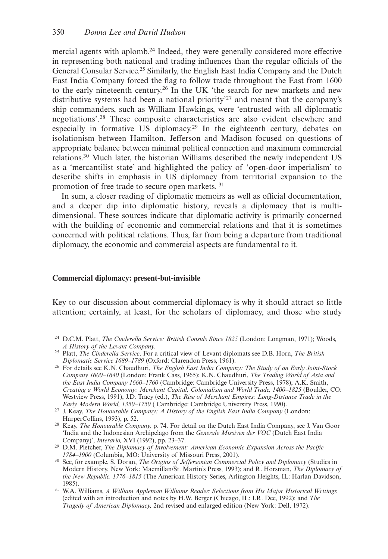mercial agents with aplomb.24 Indeed, they were generally considered more effective in representing both national and trading influences than the regular officials of the General Consular Service.25 Similarly, the English East India Company and the Dutch East India Company forced the flag to follow trade throughout the East from 1600 to the early nineteenth century.26 In the UK 'the search for new markets and new distributive systems had been a national priority'27 and meant that the company's ship commanders, such as William Hawkings, were 'entrusted with all diplomatic negotiations'.28 These composite characteristics are also evident elsewhere and especially in formative US diplomacy.<sup>29</sup> In the eighteenth century, debates on isolationism between Hamilton, Jefferson and Madison focused on questions of appropriate balance between minimal political connection and maximum commercial relations.30 Much later, the historian Williams described the newly independent US as a 'mercantilist state' and highlighted the policy of 'open-door imperialism' to describe shifts in emphasis in US diplomacy from territorial expansion to the promotion of free trade to secure open markets. <sup>31</sup>

In sum, a closer reading of diplomatic memoirs as well as official documentation, and a deeper dip into diplomatic history, reveals a diplomacy that is multidimensional. These sources indicate that diplomatic activity is primarily concerned with the building of economic and commercial relations and that it is sometimes concerned with political relations. Thus, far from being a departure from traditional diplomacy, the economic and commercial aspects are fundamental to it.

#### **Commercial diplomacy: present-but-invisible**

Key to our discussion about commercial diplomacy is why it should attract so little attention; certainly, at least, for the scholars of diplomacy, and those who study

- <sup>24</sup> D.C.M. Platt, *The Cinderella Service: British Consuls Since 1825* (London: Longman, 1971); Woods, *A History of the Levant Company.*
- <sup>25</sup> Platt, *The Cinderella Service*. For a critical view of Levant diplomats see D.B. Horn, *The British Diplomatic Service 1689–1789* (Oxford: Clarendon Press, 1961).
- <sup>26</sup> For details see K.N. Chaudhuri, *The English East India Company: The Study of an Early Joint-Stock Company 1600–1640* (London: Frank Cass, 1965); K.N. Chaudhuri, *The Trading World of Asia and the East India Company 1660–1760* (Cambridge: Cambridge University Press, 1978); A.K. Smith, *Creating a World Economy: Merchant Capital, Colonialism and World Trade, 1400–1825* (Boulder, CO: Westview Press, 1991); J.D. Tracy (ed.), *The Rise of Merchant Empires: Long-Distance Trade in the Early Modern World, 1350–1750* ( Cambridge: Cambridge University Press, 1990).
- <sup>27</sup> J. Keay, *The Honourable Company: A History of the English East India Company* (London: HarperCollins, 1993), p. 52.
- <sup>28</sup> Keay, *The Honourable Company,* p. 74. For detail on the Dutch East India Company, see J. Van Goor 'India and the Indonesian Archipelago from the *Generale Missiven der VOC* (Dutch East India Company)', *Interario,* XVI (1992), pp. 23–37.
- <sup>29</sup> D.M. Pletcher, *The Diplomacy of Involvement: American Economic Expansion Across the Pacific, 1784–1900* (Columbia, MO: University of Missouri Press, 2001).
- <sup>30</sup> See, for example, S. Doran, *The Origins of Jeffersonian Commercial Policy and Diplomacy* (Studies in Modern History, New York: Macmillan/St. Martin's Press, 1993); and R. Horsman, *The Diplomacy of the New Republic, 1776–1815* (The American History Series, Arlington Heights, IL: Harlan Davidson, 1985).
- <sup>31</sup> W.A. Williams, *A William Appleman Williams Reader: Selections from His Major Historical Writings* (edited with an introduction and notes by H.W. Berger (Chicago, IL: I.R. Dee, 1992): and *The Tragedy of American Diplomacy,* 2nd revised and enlarged edition (New York: Dell, 1972).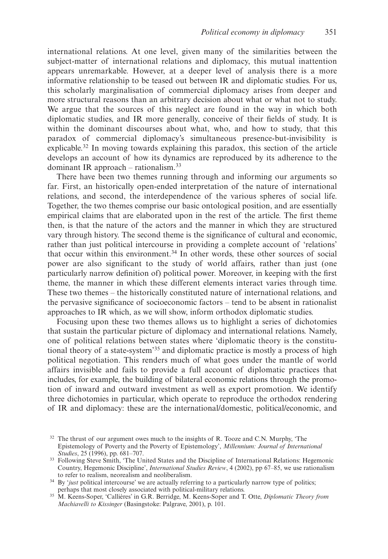international relations. At one level, given many of the similarities between the subject-matter of international relations and diplomacy, this mutual inattention appears unremarkable. However, at a deeper level of analysis there is a more informative relationship to be teased out between IR and diplomatic studies. For us, this scholarly marginalisation of commercial diplomacy arises from deeper and more structural reasons than an arbitrary decision about what or what not to study. We argue that the sources of this neglect are found in the way in which both diplomatic studies, and IR more generally, conceive of their fields of study. It is within the dominant discourses about what, who, and how to study, that this paradox of commercial diplomacy's simultaneous presence-but-invisibility is explicable.32 In moving towards explaining this paradox, this section of the article develops an account of how its dynamics are reproduced by its adherence to the dominant IR approach – rationalism.33

There have been two themes running through and informing our arguments so far. First, an historically open-ended interpretation of the nature of international relations, and second, the interdependence of the various spheres of social life. Together, the two themes comprise our basic ontological position, and are essentially empirical claims that are elaborated upon in the rest of the article. The first theme then, is that the nature of the actors and the manner in which they are structured vary through history. The second theme is the significance of cultural and economic, rather than just political intercourse in providing a complete account of 'relations' that occur within this environment.34 In other words, these other sources of social power are also significant to the study of world affairs, rather than just (one particularly narrow definition of) political power. Moreover, in keeping with the first theme, the manner in which these different elements interact varies through time. These two themes – the historically constituted nature of international relations, and the pervasive significance of socioeconomic factors – tend to be absent in rationalist approaches to IR which, as we will show, inform orthodox diplomatic studies.

Focusing upon these two themes allows us to highlight a series of dichotomies that sustain the particular picture of diplomacy and international relations. Namely, one of political relations between states where 'diplomatic theory is the constitutional theory of a state-system'35 and diplomatic practice is mostly a process of high political negotiation. This renders much of what goes under the mantle of world affairs invisible and fails to provide a full account of diplomatic practices that includes, for example, the building of bilateral economic relations through the promotion of inward and outward investment as well as export promotion. We identify three dichotomies in particular, which operate to reproduce the orthodox rendering of IR and diplomacy: these are the international/domestic, political/economic, and

<sup>&</sup>lt;sup>32</sup> The thrust of our argument owes much to the insights of R. Tooze and C.N. Murphy, 'The Epistemology of Poverty and the Poverty of Epistemology', *Millennium: Journal of International Studies*, 25 (1996), pp. 681–707.

<sup>&</sup>lt;sup>33</sup> Following Steve Smith, 'The United States and the Discipline of International Relations: Hegemonic Country, Hegemonic Discipline', *International Studies Review*, 4 (2002), pp 67–85, we use rationalism to refer to realism, neorealism and neoliberalism.

<sup>&</sup>lt;sup>34</sup> By '*just* political intercourse' we are actually referring to a particularly narrow type of politics; perhaps that most closely associated with political-military relations.

<sup>35</sup> M. Keens-Soper, 'Callières' in G.R. Berridge, M. Keens-Soper and T. Otte, *Diplomatic Theory from Machiavelli to Kissinger* (Basingstoke: Palgrave, 2001), p. 101.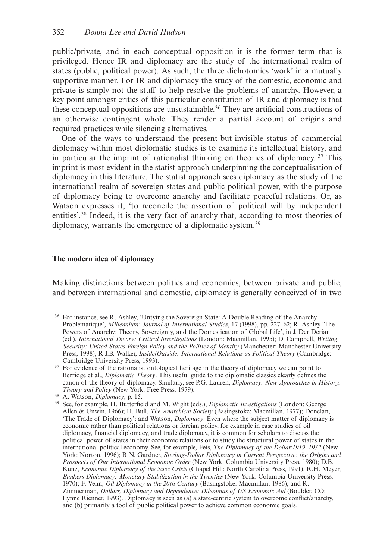public/private, and in each conceptual opposition it is the former term that is privileged. Hence IR and diplomacy are the study of the international realm of states (public, political power). As such, the three dichotomies 'work' in a mutually supportive manner. For IR and diplomacy the study of the domestic, economic and private is simply not the stuff to help resolve the problems of anarchy. However, a key point amongst critics of this particular constitution of IR and diplomacy is that these conceptual oppositions are unsustainable.36 They are artificial constructions of an otherwise contingent whole. They render a partial account of origins and required practices while silencing alternatives.

One of the ways to understand the present-but-invisible status of commercial diplomacy within most diplomatic studies is to examine its intellectual history, and in particular the imprint of rationalist thinking on theories of diplomacy.  $37$  This imprint is most evident in the statist approach underpinning the conceptualisation of diplomacy in this literature. The statist approach sees diplomacy as the study of the international realm of sovereign states and public political power, with the purpose of diplomacy being to overcome anarchy and facilitate peaceful relations. Or, as Watson expresses it, 'to reconcile the assertion of political will by independent entities'.38 Indeed, it is the very fact of anarchy that, according to most theories of diplomacy, warrants the emergence of a diplomatic system.<sup>39</sup>

# **The modern idea of diplomacy**

Making distinctions between politics and economics, between private and public, and between international and domestic, diplomacy is generally conceived of in two

- <sup>36</sup> For instance, see R. Ashley, 'Untying the Sovereign State: A Double Reading of the Anarchy Problematique', *Millennium: Journal of International Studies*, 17 (1998), pp. 227–62; R. Ashley 'The Powers of Anarchy: Theory, Sovereignty, and the Domestication of Global Life', in J. Der Derian (ed.), *International Theory: Critical Investigations* (London: Macmillan, 1995); D. Campbell, *Writing Security: United States Foreign Policy and the Politics of Identity* (Manchester: Manchester University Press, 1998); R.J.B. Walker, *Inside/Outside: International Relations as Political Theory* (Cambridge: Cambridge University Press, 1993).
- <sup>37</sup> For evidence of the rationalist ontological heritage in the theory of diplomacy we can point to Berridge et al., *Diplomatic Theory*. This useful guide to the diplomatic classics clearly defines the canon of the theory of diplomacy. Similarly, see P.G. Lauren, *Diplomacy: New Approaches in History, Theory and Policy* (New York: Free Press, 1979).
- <sup>38</sup> A. Watson, *Diplomacy*, p. 15.

<sup>39</sup> See, for example, H. Butterfield and M. Wight (eds.), *Diplomatic Investigations* (London: George Allen & Unwin, 1966); H. Bull, *The Anarchical Society* (Basingstoke: Macmillan, 1977); Donelan, 'The Trade of Diplomacy'; and Watson, *Diplomacy*. Even where the subject matter of diplomacy is economic rather than political relations or foreign policy, for example in case studies of oil diplomacy, financial diplomacy, and trade diplomacy, it is common for scholars to discuss the political power of states in their economic relations or to study the structural power of states in the international political economy. See, for example, Feis, *The Diplomacy of the Dollar:1919–1932* (New York: Norton, 1996); R.N. Gardner, *Sterling-Dollar Diplomacy in Current Perspective: the Origins and Prospects of Our International Economic Order* (New York: Columbia University Press, 1980); D.B. Kunz, *Economic Diplomacy of the Suez Crisis* (Chapel Hill: North Carolina Press, 1991); R.H. Meyer, *Bankers Diplomacy: Monetary Stabilization in the Twenties* (New York: Columbia University Press, 1970); F. Venn, *Oil Diplomacy in the 20th Century* (Basingstoke: Macmillan, 1986); and R. Zimmerman, *Dollars, Diplomacy and Dependence: Dilemmas of US Economic Aid* (Boulder, CO: Lynne Rienner, 1993). Diplomacy is seen as (a) a state-centric system to overcome conflict/anarchy, and (b) primarily a tool of public political power to achieve common economic goals.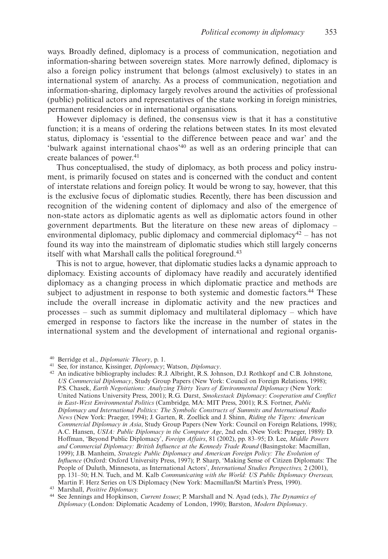ways. Broadly defined, diplomacy is a process of communication, negotiation and information-sharing between sovereign states. More narrowly defined, diplomacy is also a foreign policy instrument that belongs (almost exclusively) to states in an international system of anarchy. As a process of communication, negotiation and information-sharing, diplomacy largely revolves around the activities of professional (public) political actors and representatives of the state working in foreign ministries, permanent residencies or in international organisations.

However diplomacy is defined, the consensus view is that it has a constitutive function; it is a means of ordering the relations between states. In its most elevated status, diplomacy is 'essential to the difference between peace and war' and the 'bulwark against international chaos'40 as well as an ordering principle that can create balances of power.<sup>41</sup>

Thus conceptualised, the study of diplomacy, as both process and policy instrument, is primarily focused on states and is concerned with the conduct and content of interstate relations and foreign policy. It would be wrong to say, however, that this is the exclusive focus of diplomatic studies. Recently, there has been discussion and recognition of the widening content of diplomacy and also of the emergence of non-state actors as diplomatic agents as well as diplomatic actors found in other government departments. But the literature on these new areas of diplomacy – environmental diplomacy, public diplomacy and commercial diplomacy<sup>42</sup> – has not found its way into the mainstream of diplomatic studies which still largely concerns itself with what Marshall calls the political foreground.<sup>43</sup>

This is not to argue, however, that diplomatic studies lacks a dynamic approach to diplomacy. Existing accounts of diplomacy have readily and accurately identified diplomacy as a changing process in which diplomatic practice and methods are subject to adjustment in response to both systemic and domestic factors.<sup>44</sup> These include the overall increase in diplomatic activity and the new practices and processes – such as summit diplomacy and multilateral diplomacy – which have emerged in response to factors like the increase in the number of states in the international system and the development of international and regional organis-

<sup>40</sup> Berridge et al., *Diplomatic Theory*, p. 1.

<sup>41</sup> See, for instance, Kissinger, *Diplomacy*; Watson, *Diplomacy*.

<sup>42</sup> An indicative bibliography includes: R.J. Albright, R.S. Johnson, D.J. Rothkopf and C.B. Johnstone, *US Commercial Diplomacy*, Study Group Papers (New York: Council on Foreign Relations, 1998); P.S. Chasek, *Earth Negotiations: Analyzing Thirty Years of Environmental Diplomacy* (New York: United Nations University Press, 2001); R.G. Darst, *Smokestack Diplomacy*: *Cooperation and Conflict in East-West Environmental Politics* (Cambridge, MA: MIT Press, 2001); R.S. Fortner, *Public Diplomacy and International Politics: The Symbolic Constructs of Summits and International Radio News* (New York: Praeger, 1994); J. Garten, R. Zoellick and J. Shinn, *Riding the Tigers: American Commercial Diplomacy in Asia*, Study Group Papers (New York: Council on Foreign Relations, 1998); A.C. Hansen, *USIA: Public Diplomacy in the Computer Age*, 2nd edn. (New York: Praeger, 1989): D. Hoffman, 'Beyond Public Diplomacy', *Foreign Affairs*, 81 (2002), pp. 83–95; D. Lee, *Middle Powers and Commercial Diplomacy: British Influence at the Kennedy Trade Round* (Basingstoke: Macmillan, 1999); J.B. Manheim, *Strategic Public Diplomacy and American Foreign Policy: The Evolution of Influence* (Oxford: Oxford University Press, 1997); P. Sharp, 'Making Sense of Citizen Diplomats: The People of Duluth, Minnesota, as International Actors', *International Studies Perspectives,* 2 (2001), pp. 131–50; H.N. Tuch, and M. Kalb *Communicating with the World: US Public Diplomacy Overseas,* Martin F. Herz Series on US Diplomacy (New York: Macmillan/St Martin's Press, 1990).

<sup>43</sup> Marshall, *Positive Diplomacy.*

<sup>44</sup> See Jennings and Hopkinson, *Current Issues*; P. Marshall and N. Ayad (eds.), *The Dynamics of Diplomacy* (London: Diplomatic Academy of London, 1990); Barston, *Modern Diplomacy*.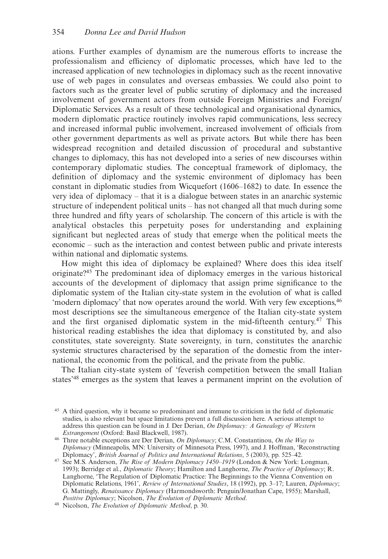ations. Further examples of dynamism are the numerous efforts to increase the professionalism and efficiency of diplomatic processes, which have led to the increased application of new technologies in diplomacy such as the recent innovative use of web pages in consulates and overseas embassies. We could also point to factors such as the greater level of public scrutiny of diplomacy and the increased involvement of government actors from outside Foreign Ministries and Foreign/ Diplomatic Services. As a result of these technological and organisational dynamics, modern diplomatic practice routinely involves rapid communications, less secrecy and increased informal public involvement, increased involvement of officials from other government departments as well as private actors. But while there has been widespread recognition and detailed discussion of procedural and substantive changes to diplomacy, this has not developed into a series of new discourses within contemporary diplomatic studies. The conceptual framework of diplomacy, the definition of diplomacy and the systemic environment of diplomacy has been constant in diplomatic studies from Wicquefort (1606–1682) to date. In essence the very idea of diplomacy – that it is a dialogue between states in an anarchic systemic structure of independent political units – has not changed all that much during some three hundred and fifty years of scholarship. The concern of this article is with the analytical obstacles this perpetuity poses for understanding and explaining significant but neglected areas of study that emerge when the political meets the economic – such as the interaction and contest between public and private interests within national and diplomatic systems.

How might this idea of diplomacy be explained? Where does this idea itself originate?45 The predominant idea of diplomacy emerges in the various historical accounts of the development of diplomacy that assign prime significance to the diplomatic system of the Italian city-state system in the evolution of what is called 'modern diplomacy' that now operates around the world. With very few exceptions,46 most descriptions see the simultaneous emergence of the Italian city-state system and the first organised diplomatic system in the mid-fifteenth century.<sup>47</sup> This historical reading establishes the idea that diplomacy is constituted by, and also constitutes, state sovereignty. State sovereignty, in turn, constitutes the anarchic systemic structures characterised by the separation of the domestic from the international, the economic from the political, and the private from the public.

The Italian city-state system of 'feverish competition between the small Italian states'48 emerges as the system that leaves a permanent imprint on the evolution of

<sup>&</sup>lt;sup>45</sup> A third question, why it became so predominant and immune to criticism in the field of diplomatic studies, is also relevant but space limitations prevent a full discussion here. A serious attempt to address this question can be found in J. Der Derian, *On Diplomacy: A Genealogy of Western Estrangement* (Oxford: Basil Blackwell, 1987).

<sup>46</sup> Three notable exceptions are Der Derian, *On Diplomacy*; C.M. Constantinou, *On the Way to Diplomacy* (Minneapolis, MN: University of Minnesota Press, 1997), and J. Hoffman, 'Reconstructing Diplomacy', *British Journal of Politics and International Relations*, 5 (2003), pp. 525–42.

<sup>47</sup> See M.S. Anderson, *The Rise of Modern Diplomacy 1450–1919* (London & New York: Longman, 1993); Berridge et al., *Diplomatic Theory*; Hamilton and Langhorne, *The Practice of Diplomacy*; R. Langhorne, 'The Regulation of Diplomatic Practice: The Beginnings to the Vienna Convention on Diplomatic Relations, 1961', *Review of International Studies*, 18 (1992), pp. 3–17; Lauren, *Diplomacy*; G. Mattingly, *Renaissance Diplomacy* (Harmondsworth: Penguin/Jonathan Cape, 1955); Marshall, *Positive Diplomacy*; Nicolson, *The Evolution of Diplomatic Method*.

<sup>48</sup> Nicolson, *The Evolution of Diplomatic Method*, p. 30.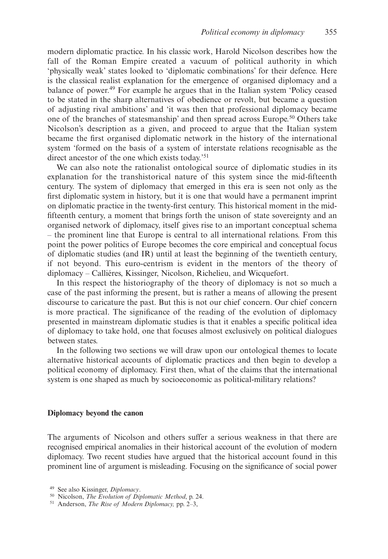modern diplomatic practice. In his classic work, Harold Nicolson describes how the fall of the Roman Empire created a vacuum of political authority in which 'physically weak' states looked to 'diplomatic combinations' for their defence. Here is the classical realist explanation for the emergence of organised diplomacy and a balance of power.49 For example he argues that in the Italian system 'Policy ceased to be stated in the sharp alternatives of obedience or revolt, but became a question of adjusting rival ambitions' and 'it was then that professional diplomacy became one of the branches of statesmanship' and then spread across Europe.50 Others take Nicolson's description as a given, and proceed to argue that the Italian system became the first organised diplomatic network in the history of the international system 'formed on the basis of a system of interstate relations recognisable as the direct ancestor of the one which exists today.'51

We can also note the rationalist ontological source of diplomatic studies in its explanation for the transhistorical nature of this system since the mid-fifteenth century. The system of diplomacy that emerged in this era is seen not only as the first diplomatic system in history, but it is one that would have a permanent imprint on diplomatic practice in the twenty-first century. This historical moment in the midfifteenth century, a moment that brings forth the unison of state sovereignty and an organised network of diplomacy, itself gives rise to an important conceptual schema – the prominent line that Europe is central to all international relations. From this point the power politics of Europe becomes the core empirical and conceptual focus of diplomatic studies (and IR) until at least the beginning of the twentieth century, if not beyond. This euro-centrism is evident in the mentors of the theory of diplomacy – Calliéres, Kissinger, Nicolson, Richelieu, and Wicquefort.

In this respect the historiography of the theory of diplomacy is not so much a case of the past informing the present, but is rather a means of allowing the present discourse to caricature the past. But this is not our chief concern. Our chief concern is more practical. The significance of the reading of the evolution of diplomacy presented in mainstream diplomatic studies is that it enables a specific political idea of diplomacy to take hold, one that focuses almost exclusively on political dialogues between states.

In the following two sections we will draw upon our ontological themes to locate alternative historical accounts of diplomatic practices and then begin to develop a political economy of diplomacy. First then, what of the claims that the international system is one shaped as much by socioeconomic as political-military relations?

## **Diplomacy beyond the canon**

The arguments of Nicolson and others suffer a serious weakness in that there are recognised empirical anomalies in their historical account of the evolution of modern diplomacy. Two recent studies have argued that the historical account found in this prominent line of argument is misleading. Focusing on the significance of social power

<sup>49</sup> See also Kissinger, *Diplomacy*.

<sup>50</sup> Nicolson, *The Evolution of Diplomatic Method*, p. 24.

<sup>51</sup> Anderson, *The Rise of Modern Diplomacy,* pp. 2–3,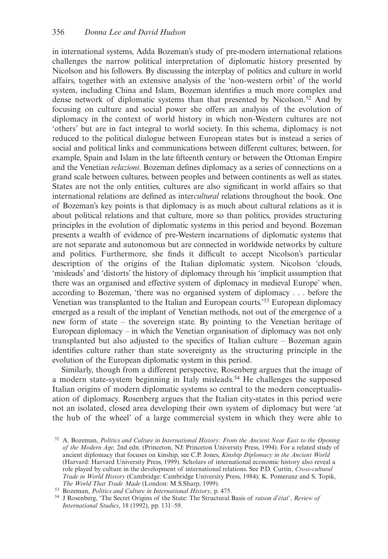in international systems, Adda Bozeman's study of pre-modern international relations challenges the narrow political interpretation of diplomatic history presented by Nicolson and his followers. By discussing the interplay of politics and culture in world affairs, together with an extensive analysis of the 'non-western orbit' of the world system, including China and Islam, Bozeman identifies a much more complex and dense network of diplomatic systems than that presented by Nicolson.52 And by focusing on culture and social power she offers an analysis of the evolution of diplomacy in the context of world history in which non-Western cultures are not 'others' but are in fact integral to world society. In this schema, diplomacy is not reduced to the political dialogue between European states but is instead a series of social and political links and communications between different cultures; between, for example, Spain and Islam in the late fifteenth century or between the Ottoman Empire and the Venetian *relazioni*. Bozeman defines diplomacy as a series of connections on a grand scale between cultures, between peoples and between continents as well as states. States are not the only entities, cultures are also significant in world affairs so that international relations are defined as inter*cultural* relations throughout the book. One of Bozeman's key points is that diplomacy is as much about cultural relations as it is about political relations and that culture, more so than politics, provides structuring principles in the evolution of diplomatic systems in this period and beyond. Bozeman presents a wealth of evidence of pre-Western incarnations of diplomatic systems that are not separate and autonomous but are connected in worldwide networks by culture and politics. Furthermore, she finds it difficult to accept Nicolson's particular description of the origins of the Italian diplomatic system. Nicolson 'clouds, 'misleads' and 'distorts' the history of diplomacy through his 'implicit assumption that there was an organised and effective system of diplomacy in medieval Europe' when, according to Bozeman, 'there was no organised system of diplomacy . . . before the Venetian was transplanted to the Italian and European courts.'53 European diplomacy emerged as a result of the implant of Venetian methods, not out of the emergence of a new form of state – the sovereign state. By pointing to the Venetian heritage of European diplomacy – in which the Venetian organisation of diplomacy was not only transplanted but also adjusted to the specifics of Italian culture – Bozeman again identifies culture rather than state sovereignty as the structuring principle in the evolution of the European diplomatic system in this period.

Similarly, though from a different perspective, Rosenberg argues that the image of a modern state-system beginning in Italy misleads.54 He challenges the supposed Italian origins of modern diplomatic systems so central to the modern conceptualisation of diplomacy. Rosenberg argues that the Italian city-states in this period were not an isolated, closed area developing their own system of diplomacy but were 'at the hub of the wheel' of a large commercial system in which they were able to

<sup>52</sup> A. Bozeman, *Politics and Culture in International History: From the Ancient Near East to the Opening of the Modern Age,* 2nd edn. (Princeton, NJ: Princeton University Press, 1994). For a related study of ancient diplomacy that focuses on kinship, see C.P. Jones, *Kinship Diplomacy in the Ancient World* (Harvard: Harvard University Press, 1999). Scholars of international economic history also reveal a role played by culture in the development of international relations. See P.D. Curtin, *Cross-cultural Trade in World History* (Cambridge: Cambridge University Press, 1984); K. Pomeranz and S. Topik, *The World That Trade Made* (London: M.S.Sharp, 1999).

<sup>53</sup> Bozeman, *Politics and Culture in International History*, p. 475.

<sup>54</sup> J Rosenberg, 'The Secret Origins of the State: The Structural Basis of *raison d'état*', *Review of International Studies*, 18 (1992), pp. 131–59.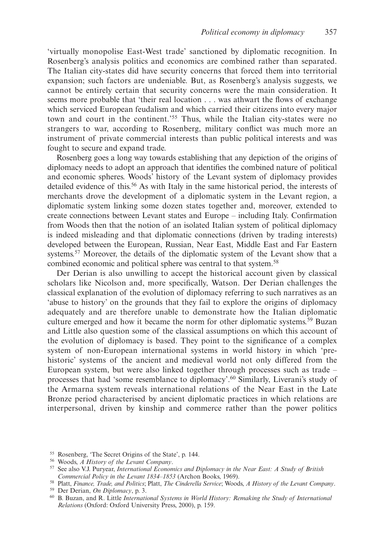'virtually monopolise East-West trade' sanctioned by diplomatic recognition. In Rosenberg's analysis politics and economics are combined rather than separated. The Italian city-states did have security concerns that forced them into territorial expansion; such factors are undeniable. But, as Rosenberg's analysis suggests, we cannot be entirely certain that security concerns were the main consideration. It seems more probable that 'their real location . . . was athwart the flows of exchange which serviced European feudalism and which carried their citizens into every major town and court in the continent.'55 Thus, while the Italian city-states were no strangers to war, according to Rosenberg, military conflict was much more an instrument of private commercial interests than public political interests and was fought to secure and expand trade.

Rosenberg goes a long way towards establishing that any depiction of the origins of diplomacy needs to adopt an approach that identifies the combined nature of political and economic spheres. Woods' history of the Levant system of diplomacy provides detailed evidence of this.<sup>56</sup> As with Italy in the same historical period, the interests of merchants drove the development of a diplomatic system in the Levant region, a diplomatic system linking some dozen states together and, moreover, extended to create connections between Levant states and Europe – including Italy. Confirmation from Woods then that the notion of an isolated Italian system of political diplomacy is indeed misleading and that diplomatic connections (driven by trading interests) developed between the European, Russian, Near East, Middle East and Far Eastern systems.<sup>57</sup> Moreover, the details of the diplomatic system of the Levant show that a combined economic and political sphere was central to that system.<sup>58</sup>

Der Derian is also unwilling to accept the historical account given by classical scholars like Nicolson and, more specifically, Watson. Der Derian challenges the classical explanation of the evolution of diplomacy referring to such narratives as an 'abuse to history' on the grounds that they fail to explore the origins of diplomacy adequately and are therefore unable to demonstrate how the Italian diplomatic culture emerged and how it became the norm for other diplomatic systems.<sup>59</sup> Buzan and Little also question some of the classical assumptions on which this account of the evolution of diplomacy is based. They point to the significance of a complex system of non-European international systems in world history in which 'prehistoric' systems of the ancient and medieval world not only differed from the European system, but were also linked together through processes such as trade – processes that had 'some resemblance to diplomacy'.60 Similarly, Liverani's study of the Armarna system reveals international relations of the Near East in the Late Bronze period characterised by ancient diplomatic practices in which relations are interpersonal, driven by kinship and commerce rather than the power politics

<sup>58</sup> Platt, *Finance, Trade, and Politics*; Platt, *The Cinderella Service*; Woods, *A History of the Levant Company*.

<sup>55</sup> Rosenberg, 'The Secret Origins of the State', p. 144.

<sup>56</sup> Woods, *A History of the Levant Company*.

<sup>57</sup> See also V.J. Puryear, *International Economics and Diplomacy in the Near East: A Study of British Commercial Policy in the Levant 1834–1853* (Archon Books, 1969).

<sup>59</sup> Der Derian, *On Diplomacy*, p. 3.

<sup>60</sup> B. Buzan, and R. Little *International Systems in World History: Remaking the Study of International Relations* (Oxford: Oxford University Press, 2000), p. 159.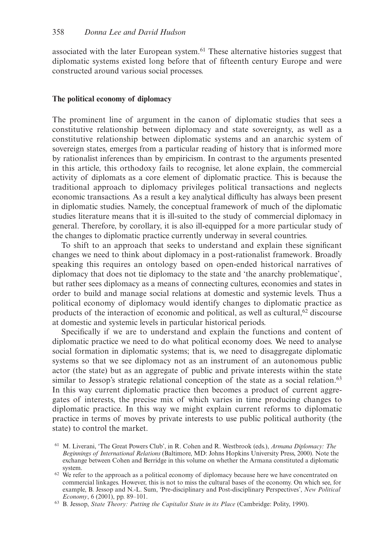associated with the later European system.61 These alternative histories suggest that diplomatic systems existed long before that of fifteenth century Europe and were constructed around various social processes.

## **The political economy of diplomacy**

The prominent line of argument in the canon of diplomatic studies that sees a constitutive relationship between diplomacy and state sovereignty, as well as a constitutive relationship between diplomatic systems and an anarchic system of sovereign states, emerges from a particular reading of history that is informed more by rationalist inferences than by empiricism. In contrast to the arguments presented in this article, this orthodoxy fails to recognise, let alone explain, the commercial activity of diplomats as a core element of diplomatic practice. This is because the traditional approach to diplomacy privileges political transactions and neglects economic transactions. As a result a key analytical difficulty has always been present in diplomatic studies. Namely, the conceptual framework of much of the diplomatic studies literature means that it is ill-suited to the study of commercial diplomacy in general. Therefore, by corollary, it is also ill-equipped for a more particular study of the changes to diplomatic practice currently underway in several countries.

To shift to an approach that seeks to understand and explain these significant changes we need to think about diplomacy in a post-rationalist framework. Broadly speaking this requires an ontology based on open-ended historical narratives of diplomacy that does not tie diplomacy to the state and 'the anarchy problematique', but rather sees diplomacy as a means of connecting cultures, economies and states in order to build and manage social relations at domestic and systemic levels. Thus a political economy of diplomacy would identify changes to diplomatic practice as products of the interaction of economic and political, as well as cultural,  $62$  discourse at domestic and systemic levels in particular historical periods.

Specifically if we are to understand and explain the functions and content of diplomatic practice we need to do what political economy does. We need to analyse social formation in diplomatic systems; that is, we need to disaggregate diplomatic systems so that we see diplomacy not as an instrument of an autonomous public actor (the state) but as an aggregate of public and private interests within the state similar to Jessop's strategic relational conception of the state as a social relation.<sup>63</sup> In this way current diplomatic practice then becomes a product of current aggregates of interests, the precise mix of which varies in time producing changes to diplomatic practice. In this way we might explain current reforms to diplomatic practice in terms of moves by private interests to use public political authority (the state) to control the market.

<sup>61</sup> M. Liverani, 'The Great Powers Club', in R. Cohen and R. Westbrook (eds.), *Armana Diplomacy: The Beginnings of International Relations* (Baltimore, MD: Johns Hopkins University Press, 2000). Note the exchange between Cohen and Berridge in this volume on whether the Armana constituted a diplomatic system.

 $62$  We refer to the approach as a political economy of diplomacy because here we have concentrated on commercial linkages. However, this is not to miss the cultural bases of the economy. On which see, for example, B. Jessop and N.-L. Sum, 'Pre-disciplinary and Post-disciplinary Perspectives', *New Political Economy*, 6 (2001), pp. 89–101.

<sup>63</sup> B. Jessop, *State Theory: Putting the Capitalist State in its Place* (Cambridge: Polity, 1990).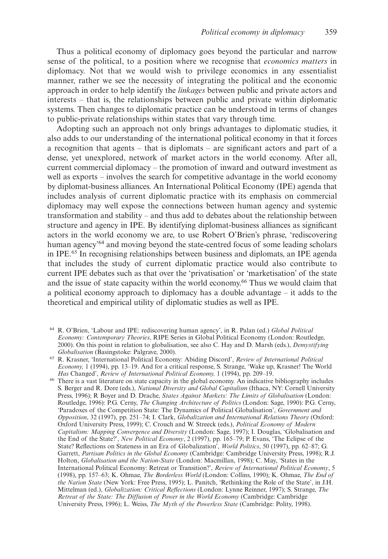Thus a political economy of diplomacy goes beyond the particular and narrow sense of the political, to a position where we recognise that *economics matters* in diplomacy. Not that we would wish to privilege economics in any essentialist manner, rather we see the necessity of integrating the political and the economic approach in order to help identify the *linkages* between public and private actors and interests – that is, the relationships between public and private within diplomatic systems. Then changes to diplomatic practice can be understood in terms of changes to public-private relationships within states that vary through time.

Adopting such an approach not only brings advantages to diplomatic studies, it also adds to our understanding of the international political economy in that it forces a recognition that agents – that is diplomats – are significant actors and part of a dense, yet unexplored, network of market actors in the world economy. After all, current commercial diplomacy – the promotion of inward and outward investment as well as exports – involves the search for competitive advantage in the world economy by diplomat-business alliances. An International Political Economy (IPE) agenda that includes analysis of current diplomatic practice with its emphasis on commercial diplomacy may well expose the connections between human agency and systemic transformation and stability – and thus add to debates about the relationship between structure and agency in IPE. By identifying diplomat-business alliances as significant actors in the world economy we are, to use Robert O'Brien's phrase, 'rediscovering human agency'64 and moving beyond the state-centred focus of some leading scholars in IPE.65 In recognising relationships between business and diplomats, an IPE agenda that includes the study of current diplomatic practice would also contribute to current IPE debates such as that over the 'privatisation' or 'marketisation' of the state and the issue of state capacity within the world economy.66 Thus we would claim that a political economy approach to diplomacy has a double advantage  $-$  it adds to the theoretical and empirical utility of diplomatic studies as well as IPE.

<sup>64</sup> R. O'Brien, 'Labour and IPE: rediscovering human agency', in R. Palan (ed.) *Global Political Economy: Contemporary Theories*, RIPE Series in Global Political Economy (London: Routledge, 2000). On this point in relation to globalisation, see also C. Hay and D. Marsh (eds.), *Demystifying Globalisation* (Basingstoke: Palgrave, 2000).

<sup>65</sup> R. Krasner, 'International Political Economy: Abiding Discord', *Review of International Political Economy,* 1 (1994), pp. 13–19. And for a critical response, S. Strange, 'Wake up, Krasner! The World *Has* Changed', *Review of International Political Economy,* 1 (1994), pp. 209–19.

<sup>66</sup> There is a vast literature on state capacity in the global economy. An indicative bibliography includes S. Berger and R. Dore (eds.), *National Diversity and Global Capitalism* (Ithaca, NY: Cornell University Press, 1996); R Boyer and D. Drache, *States Against Markets: The Limits of Globalisation* (London: Routledge, 1996): P.G. Cerny, *The Changing Architecture of Politics* (London: Sage, 1990): P.G. Cerny, 'Paradoxes of the Competition State: The Dynamics of Political Globalisation', *Government and Opposition*, 32 (1997), pp. 251–74; I. Clark, *Globalization and International Relations Theory* (Oxford: Oxford University Press, 1999); C. Crouch and W. Streeck (eds.), *Political Economy of Modern Capitalism: Mapping Convergence and Diversity* (London: Sage, 1997); I. Douglas, 'Globalisation and the End of the State?', *New Political Economy*, 2 (1997), pp. 165–79; P. Evans, 'The Eclipse of the State? Reflections on Stateness in an Era of Globalization', *World Politics*, 50 (1997), pp. 62–87; G. Garrett, *Partisan Politics in the Global Economy* (Cambridge: Cambridge University Press, 1998); R.J. Holton, *Globalisation and the Nation-State* (London: Macmillan, 1998); C. May, 'States in the International Political Economy: Retreat or Transition?', *Review of International Political Economy*, 5 (1998), pp. 157–63; K. Ohmae, *The Borderless World* (London: Collins, 1990); K. Ohmae, *The End of the Nation State* (New York: Free Press, 1995); L. Panitch, 'Rethinking the Role of the State', in J.H. Mittelman (ed.), *Globalization: Critical Reflections* (London: Lynne Reinner, 1997); S. Strange, *The Retreat of the State: The Diffusion of Power in the World Economy* (Cambridge: Cambridge University Press, 1996); L. Weiss, *The Myth of the Powerless State* (Cambridge: Polity, 1998).